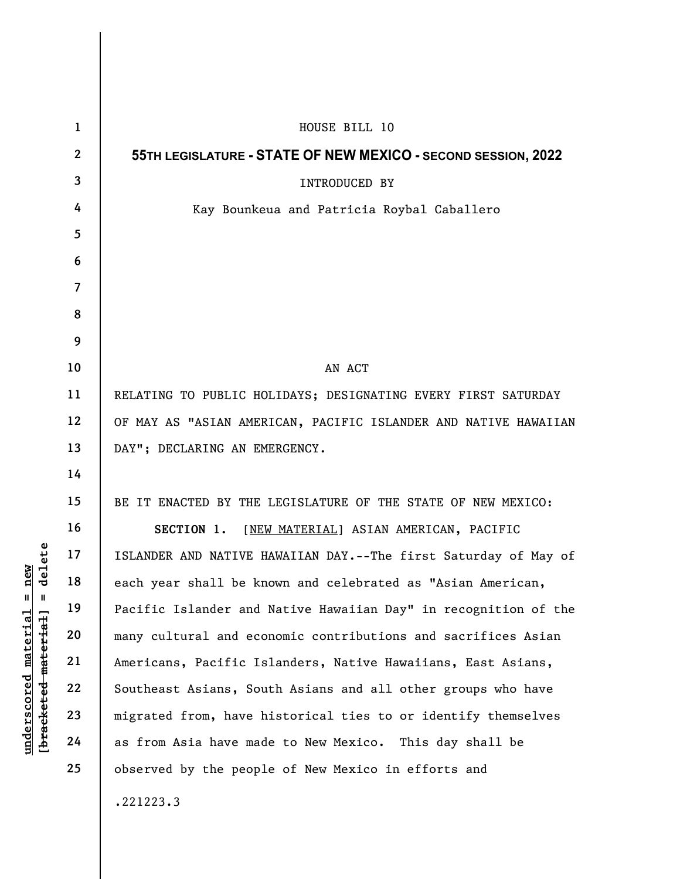| delete<br>new<br>$\parallel$<br>Ш<br>underscored material<br>[bracketed material] | $\mathbf{1}$   | HOUSE BILL 10                                                   |
|-----------------------------------------------------------------------------------|----------------|-----------------------------------------------------------------|
|                                                                                   | $\mathbf{2}$   | 55TH LEGISLATURE - STATE OF NEW MEXICO - SECOND SESSION, 2022   |
|                                                                                   | 3              | <b>INTRODUCED BY</b>                                            |
|                                                                                   | 4              | Kay Bounkeua and Patricia Roybal Caballero                      |
|                                                                                   | 5              |                                                                 |
|                                                                                   | 6              |                                                                 |
|                                                                                   | $\overline{7}$ |                                                                 |
|                                                                                   | 8              |                                                                 |
|                                                                                   | 9              |                                                                 |
|                                                                                   | 10             | AN ACT                                                          |
|                                                                                   | 11             | RELATING TO PUBLIC HOLIDAYS; DESIGNATING EVERY FIRST SATURDAY   |
|                                                                                   | 12             | OF MAY AS "ASIAN AMERICAN, PACIFIC ISLANDER AND NATIVE HAWAIIAN |
|                                                                                   | 13             | DAY"; DECLARING AN EMERGENCY.                                   |
|                                                                                   | 14             |                                                                 |
|                                                                                   | 15             | BE IT ENACTED BY THE LEGISLATURE OF THE STATE OF NEW MEXICO:    |
|                                                                                   | 16             | SECTION 1.<br>[NEW MATERIAL] ASIAN AMERICAN, PACIFIC            |
|                                                                                   | 17             | ISLANDER AND NATIVE HAWAIIAN DAY.--The first Saturday of May of |
|                                                                                   | 18             | each year shall be known and celebrated as "Asian American,     |
|                                                                                   | 19             | Pacific Islander and Native Hawaiian Day" in recognition of the |
|                                                                                   | 20             | many cultural and economic contributions and sacrifices Asian   |
|                                                                                   | 21             | Americans, Pacific Islanders, Native Hawaiians, East Asians,    |
|                                                                                   | 22             | Southeast Asians, South Asians and all other groups who have    |
|                                                                                   | 23             | migrated from, have historical ties to or identify themselves   |
|                                                                                   | 24             | as from Asia have made to New Mexico. This day shall be         |
|                                                                                   | 25             | observed by the people of New Mexico in efforts and             |
|                                                                                   |                | .221223.3                                                       |